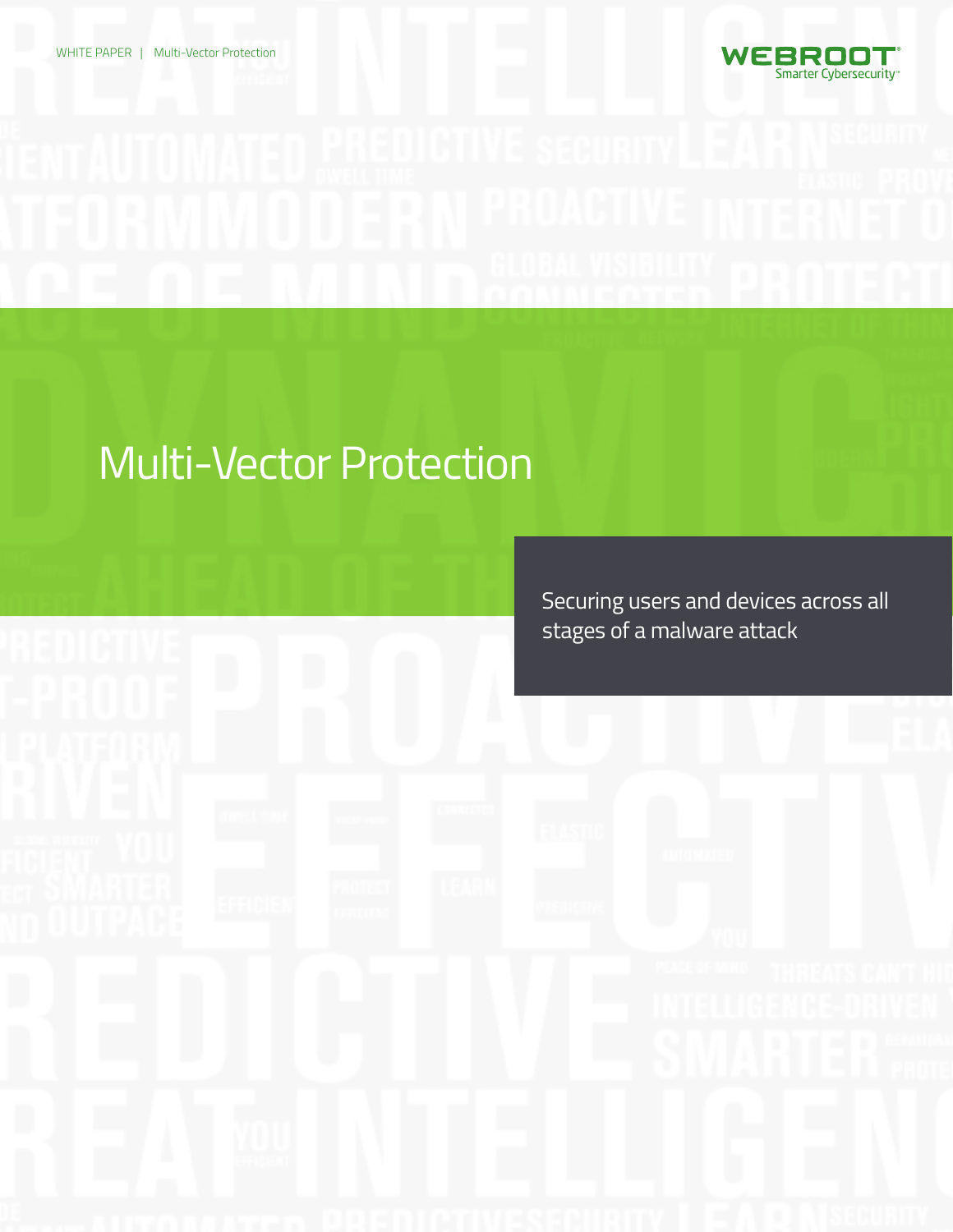

# Multi-Vector Protection

Securing users and devices across all stages of a malware attack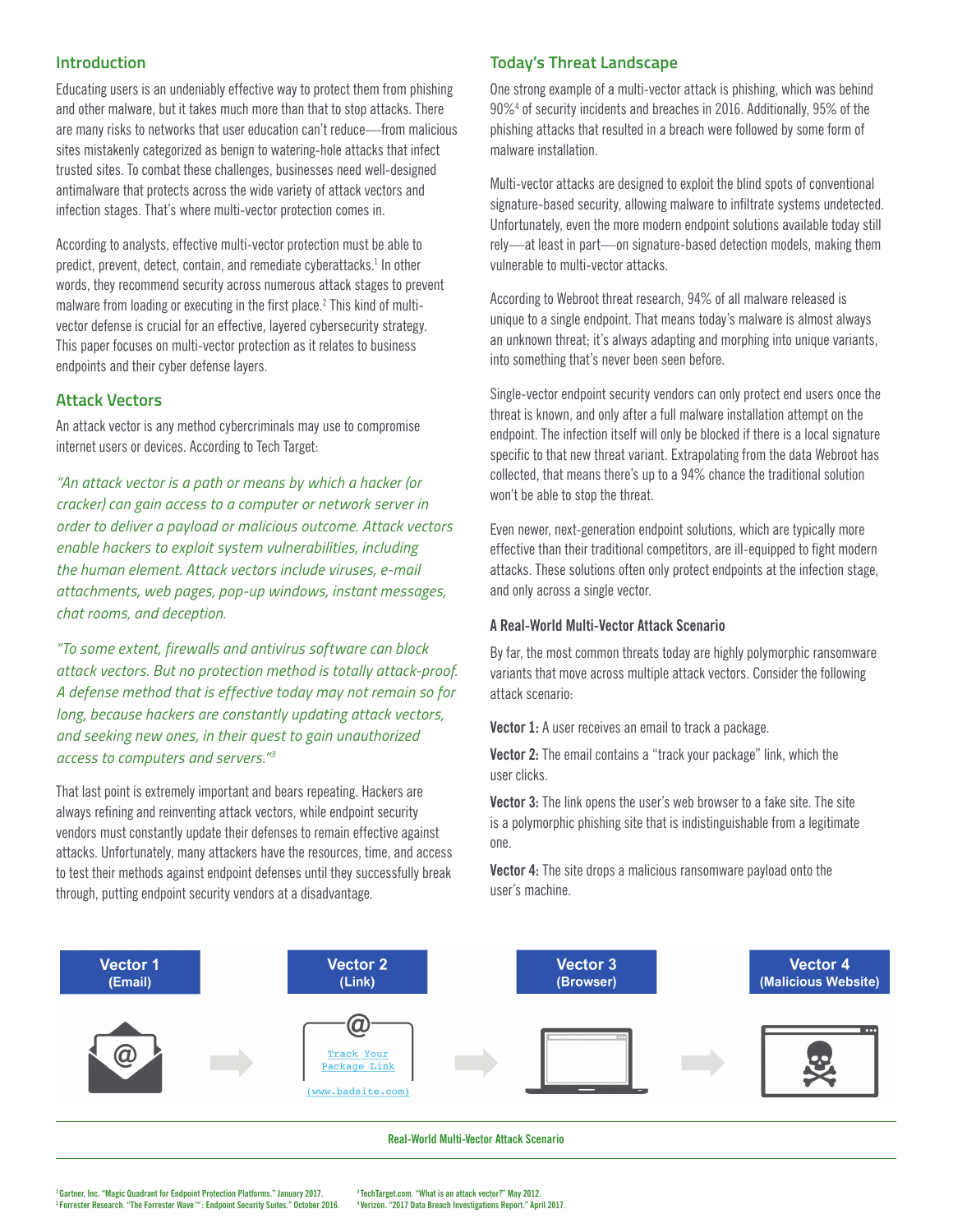## **Introduction**

Educating users is an undeniably effective way to protect them from phishing and other malware, but it takes much more than that to stop attacks. There are many risks to networks that user education can't reduce—from malicious sites mistakenly categorized as benign to watering-hole attacks that infect trusted sites. To combat these challenges, businesses need well-designed antimalware that protects across the wide variety of attack vectors and infection stages. That's where multi-vector protection comes in.

According to analysts, effective multi-vector protection must be able to predict, prevent, detect, contain, and remediate cyberattacks.<sup>1</sup> In other words, they recommend security across numerous attack stages to prevent malware from loading or executing in the first place.<sup>2</sup> This kind of multivector defense is crucial for an effective, layered cybersecurity strategy. This paper focuses on multi-vector protection as it relates to business endpoints and their cyber defense layers.

#### **Attack Vectors**

An attack vector is any method cybercriminals may use to compromise internet users or devices. According to Tech Target:

*"An attack vector is a path or means by which a hacker (or cracker) can gain access to a computer or network server in order to deliver a payload or malicious outcome. Attack vectors enable hackers to exploit system vulnerabilities, including the human element. Attack vectors include viruses, e-mail attachments, web pages, pop-up windows, instant messages, chat rooms, and deception.* 

*"To some extent, firewalls and antivirus software can block attack vectors. But no protection method is totally attack-proof. A defense method that is effective today may not remain so for long, because hackers are constantly updating attack vectors, and seeking new ones, in their quest to gain unauthorized access to computers and servers."3*

That last point is extremely important and bears repeating. Hackers are always refining and reinventing attack vectors, while endpoint security vendors must constantly update their defenses to remain effective against attacks. Unfortunately, many attackers have the resources, time, and access to test their methods against endpoint defenses until they successfully break through, putting endpoint security vendors at a disadvantage.

#### **Today's Threat Landscape**

One strong example of a multi-vector attack is phishing, which was behind 90%4 of security incidents and breaches in 2016. Additionally, 95% of the phishing attacks that resulted in a breach were followed by some form of malware installation.

Multi-vector attacks are designed to exploit the blind spots of conventional signature-based security, allowing malware to infiltrate systems undetected. Unfortunately, even the more modern endpoint solutions available today still rely—at least in part—on signature-based detection models, making them vulnerable to multi-vector attacks.

According to Webroot threat research, 94% of all malware released is unique to a single endpoint. That means today's malware is almost always an unknown threat; it's always adapting and morphing into unique variants, into something that's never been seen before.

Single-vector endpoint security vendors can only protect end users once the threat is known, and only after a full malware installation attempt on the endpoint. The infection itself will only be blocked if there is a local signature specific to that new threat variant. Extrapolating from the data Webroot has collected, that means there's up to a 94% chance the traditional solution won't be able to stop the threat.

Even newer, next-generation endpoint solutions, which are typically more effective than their traditional competitors, are ill-equipped to fight modern attacks. These solutions often only protect endpoints at the infection stage, and only across a single vector.

#### **A Real-World Multi-Vector Attack Scenario**

By far, the most common threats today are highly polymorphic ransomware variants that move across multiple attack vectors. Consider the following attack scenario:

**Vector 1:** A user receives an email to track a package.

**Vector 2:** The email contains a "track your package" link, which the user clicks.

**Vector 3:** The link opens the user's web browser to a fake site. The site is a polymorphic phishing site that is indistinguishable from a legitimate one.

**Vector 4:** The site drops a malicious ransomware payload onto the user's machine.



#### **Real-World Multi-Vector Attack Scenario**

**3 TechTarget.com. "What is an attack vector?" May 2012. 4 Verizon. "2017 Data Breach Investigations Report." April 2017.**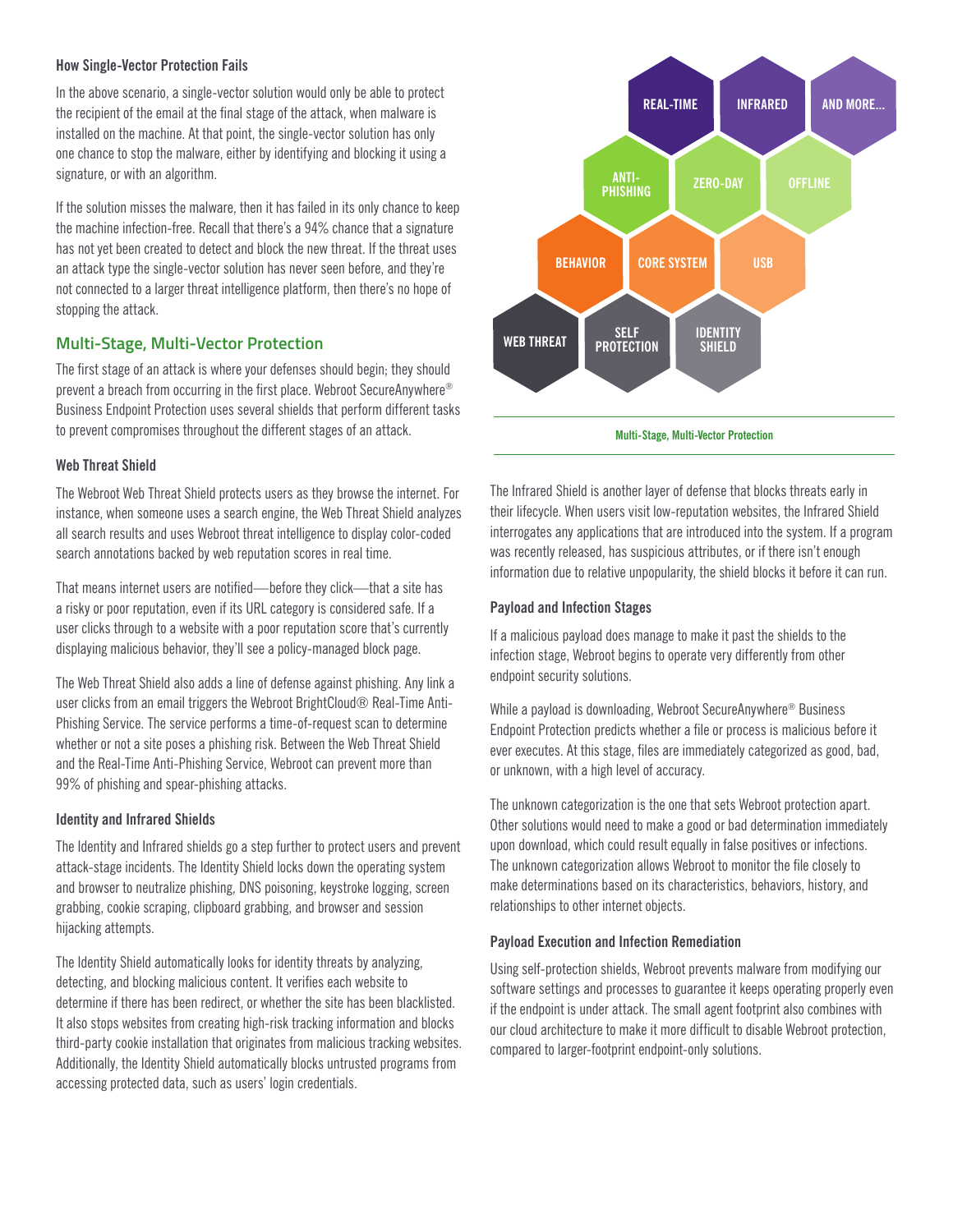#### **How Single-Vector Protection Fails**

In the above scenario, a single-vector solution would only be able to protect the recipient of the email at the final stage of the attack, when malware is installed on the machine. At that point, the single-vector solution has only one chance to stop the malware, either by identifying and blocking it using a signature, or with an algorithm.

If the solution misses the malware, then it has failed in its only chance to keep the machine infection-free. Recall that there's a 94% chance that a signature has not yet been created to detect and block the new threat. If the threat uses an attack type the single-vector solution has never seen before, and they're not connected to a larger threat intelligence platform, then there's no hope of stopping the attack.

# **Multi-Stage, Multi-Vector Protection**

The first stage of an attack is where your defenses should begin; they should prevent a breach from occurring in the first place. Webroot SecureAnywhere® Business Endpoint Protection uses several shields that perform different tasks to prevent compromises throughout the different stages of an attack.

## **Web Threat Shield**

The Webroot Web Threat Shield protects users as they browse the internet. For instance, when someone uses a search engine, the Web Threat Shield analyzes all search results and uses Webroot threat intelligence to display color-coded search annotations backed by web reputation scores in real time.

That means internet users are notified—before they click—that a site has a risky or poor reputation, even if its URL category is considered safe. If a user clicks through to a website with a poor reputation score that's currently displaying malicious behavior, they'll see a policy-managed block page.

The Web Threat Shield also adds a line of defense against phishing. Any link a user clicks from an email triggers the Webroot BrightCloud® Real-Time Anti-Phishing Service. The service performs a time-of-request scan to determine whether or not a site poses a phishing risk. Between the Web Threat Shield and the Real-Time Anti-Phishing Service, Webroot can prevent more than 99% of phishing and spear-phishing attacks.

## **Identity and Infrared Shields**

The Identity and Infrared shields go a step further to protect users and prevent attack-stage incidents. The Identity Shield locks down the operating system and browser to neutralize phishing, DNS poisoning, keystroke logging, screen grabbing, cookie scraping, clipboard grabbing, and browser and session hijacking attempts.

The Identity Shield automatically looks for identity threats by analyzing, detecting, and blocking malicious content. It verifies each website to determine if there has been redirect, or whether the site has been blacklisted. It also stops websites from creating high-risk tracking information and blocks third-party cookie installation that originates from malicious tracking websites. Additionally, the Identity Shield automatically blocks untrusted programs from accessing protected data, such as users' login credentials.



**Multi-Stage, Multi-Vector Protection**

The Infrared Shield is another layer of defense that blocks threats early in their lifecycle. When users visit low-reputation websites, the Infrared Shield interrogates any applications that are introduced into the system. If a program was recently released, has suspicious attributes, or if there isn't enough information due to relative unpopularity, the shield blocks it before it can run.

## **Payload and Infection Stages**

If a malicious payload does manage to make it past the shields to the infection stage, Webroot begins to operate very differently from other endpoint security solutions.

While a payload is downloading, Webroot SecureAnywhere® Business Endpoint Protection predicts whether a file or process is malicious before it ever executes. At this stage, files are immediately categorized as good, bad, or unknown, with a high level of accuracy.

The unknown categorization is the one that sets Webroot protection apart. Other solutions would need to make a good or bad determination immediately upon download, which could result equally in false positives or infections. The unknown categorization allows Webroot to monitor the file closely to make determinations based on its characteristics, behaviors, history, and relationships to other internet objects.

## **Payload Execution and Infection Remediation**

Using self-protection shields, Webroot prevents malware from modifying our software settings and processes to guarantee it keeps operating properly even if the endpoint is under attack. The small agent footprint also combines with our cloud architecture to make it more difficult to disable Webroot protection, compared to larger-footprint endpoint-only solutions.